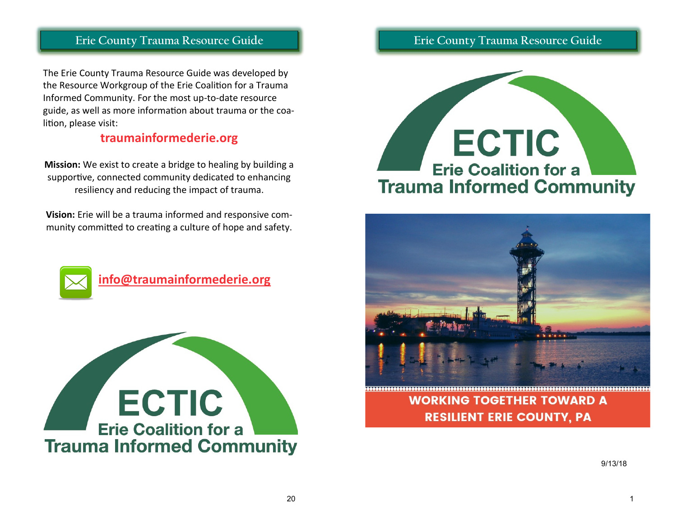The Erie County Trauma Resource Guide was developed by the Resource Workgroup of the Erie Coalition for a Trauma Informed Community. For the most up-to-date resource guide, as well as more information about trauma or the coalition, please visit:

### **traumainformederie.org**

**Mission:** We exist to create a bridge to healing by building a supportive, connected community dedicated to enhancing resiliency and reducing the impact of trauma.

**Vision:** Erie will be a trauma informed and responsive community committed to creating a culture of hope and safety.



 **[info@traumainformederie.org](mailto:info@traumainformederie.org)**



## **Erie County Trauma Resource Guide**





**WORKING TOGETHER TOWARD A RESILIENT ERIE COUNTY, PA** 

9/13/18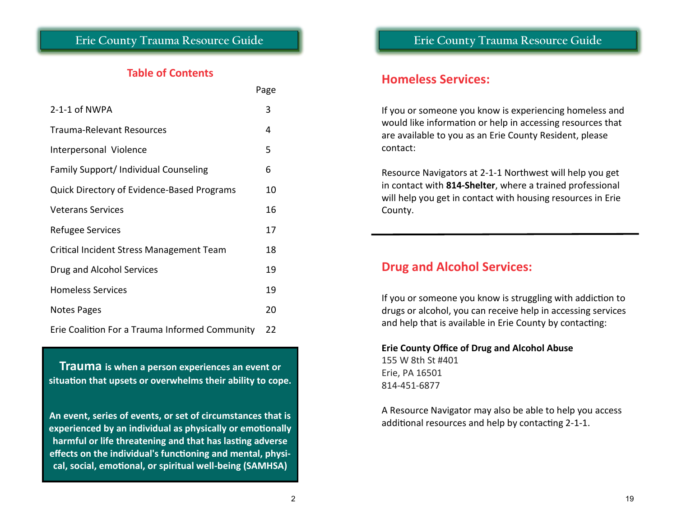### **Table of Contents**

|                                                   | Page |
|---------------------------------------------------|------|
| $2-1-1$ of NWPA                                   | 3    |
| Trauma-Relevant Resources                         | 4    |
| Interpersonal Violence                            | 5    |
| Family Support/ Individual Counseling             | 6    |
| <b>Quick Directory of Evidence-Based Programs</b> | 10   |
| <b>Veterans Services</b>                          | 16   |
| Refugee Services                                  | 17   |
| Critical Incident Stress Management Team          | 18   |
| Drug and Alcohol Services                         | 19   |
| <b>Homeless Services</b>                          | 19   |
| Notes Pages                                       | 20   |
| Erie Coalition For a Trauma Informed Community    | 22   |

**Trauma is when a person experiences an event or situation that upsets or overwhelms their ability to cope.**

**An event, series of events, or set of circumstances that is experienced by an individual as physically or emotionally harmful or life threatening and that has lasting adverse effects on the individual's functioning and mental, physical, social, emotional, or spiritual well-being (SAMHSA)**

### **Homeless Services:**

If you or someone you know is experiencing homeless and would like information or help in accessing resources that are available to you as an Erie County Resident, please contact:

Resource Navigators at 2-1-1 Northwest will help you get in contact with **814-Shelter**, where a trained professional will help you get in contact with housing resources in Erie County.

## **Drug and Alcohol Services:**

If you or someone you know is struggling with addiction to drugs or alcohol, you can receive help in accessing services and help that is available in Erie County by contacting:

**Erie County Office of Drug and Alcohol Abuse** 155 W 8th St #401 Erie, PA 16501 814-451-6877

A Resource Navigator may also be able to help you access additional resources and help by contacting 2-1-1.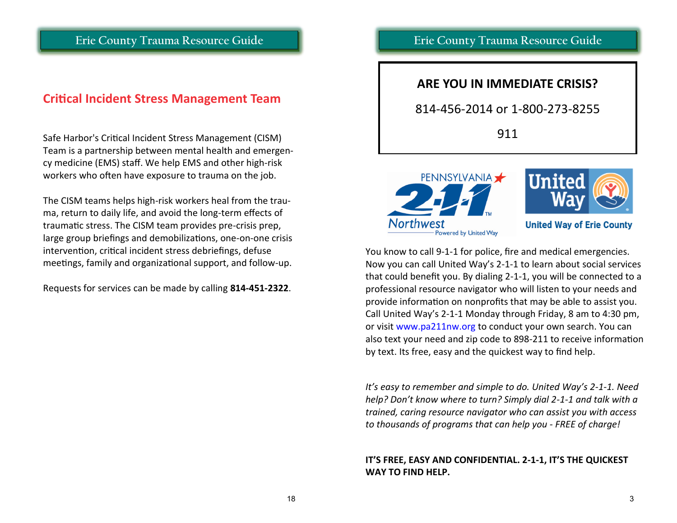### **Critical Incident Stress Management Team**

Safe Harbor's Critical Incident Stress Management (CISM) Team is a partnership between mental health and emergency medicine (EMS) staff. We help EMS and other high-risk workers who often have exposure to trauma on the job.

The CISM teams helps high-risk workers heal from the trauma, return to daily life, and avoid the long-term effects of traumatic stress. The CISM team provides pre-crisis prep, large group briefings and demobilizations, one-on-one crisis intervention, critical incident stress debriefings, defuse meetings, family and organizational support, and follow-up.

Requests for services can be made by calling **814-451-2322**.

### **Erie County Trauma Resource Guide**

#### **ARE YOU IN IMMEDIATE CRISIS?**

#### 814-456-2014 or 1-800-273-8255

911





**United Way of Erie County** 

You know to call 9-1-1 for police, fire and medical emergencies. Now you can call United Way's 2-1-1 to learn about social services that could benefit you. By dialing 2-1-1, you will be connected to a professional resource navigator who will listen to your needs and provide information on nonprofits that may be able to assist you. Call United Way's 2-1-1 Monday through Friday, 8 am to 4:30 pm, or visit www.pa211nw.org to conduct your own search. You can also text your need and zip code to 898-211 to receive information by text. Its free, easy and the quickest way to find help.

*It's easy to remember and simple to do. United Way's 2-1-1. Need help? Don't know where to turn? Simply dial 2-1-1 and talk with a trained, caring resource navigator who can assist you with access to thousands of programs that can help you - FREE of charge!*

#### **IT'S FREE, EASY AND CONFIDENTIAL. 2-1-1, IT'S THE QUICKEST WAY TO FIND HELP.**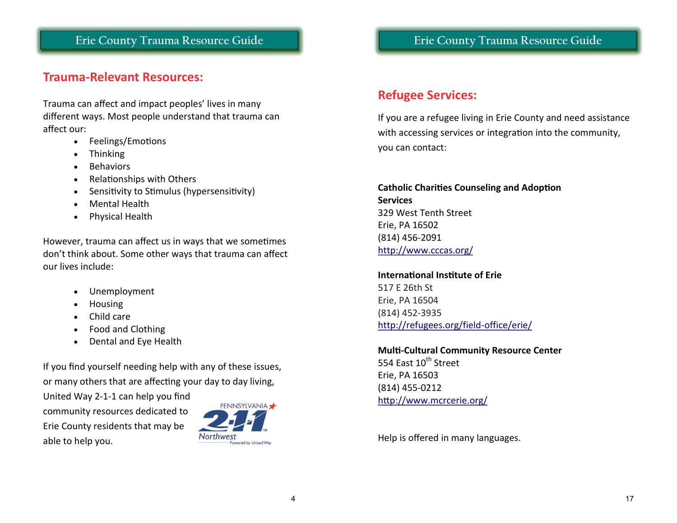### **Trauma-Relevant Resources:**

Trauma can affect and impact peoples' lives in many different ways. Most people understand that trauma can affect our:

- Feelings/Emotions
- Thinking
- **Behaviors**
- Relationships with Others
- Sensitivity to Stimulus (hypersensitivity)
- Mental Health
- Physical Health

However, trauma can affect us in ways that we sometimes don't think about. Some other ways that trauma can affect our lives include:

- Unemployment
- Housing
- Child care
- Food and Clothing
- Dental and Eye Health

If you find yourself needing help with any of these issues, or many others that are affecting your day to day living,

United Way 2-1-1 can help you find community resources dedicated to Erie County residents that may be able to help you.



### **Erie County Trauma Resource Guide**

## **Refugee Services:**

If you are a refugee living in Erie County and need assistance with accessing services or integration into the community, you can contact:

#### **Catholic Charities Counseling and Adoption Services** 329 West Tenth Street Erie, PA 16502 (814) 456-2091 <http://www.cccas.org/>

**International Institute of Erie** 517 E 26th St Erie, PA 16504 (814) 452-3935 [http://refugees.org/field](http://refugees.org/field-office/erie/)-office/erie/

**Multi-Cultural Community Resource Center** 554 Fast 10<sup>th</sup> Street Erie, PA 16503 (814) 455-0212 <http://www.mcrcerie.org/>

Help is offered in many languages.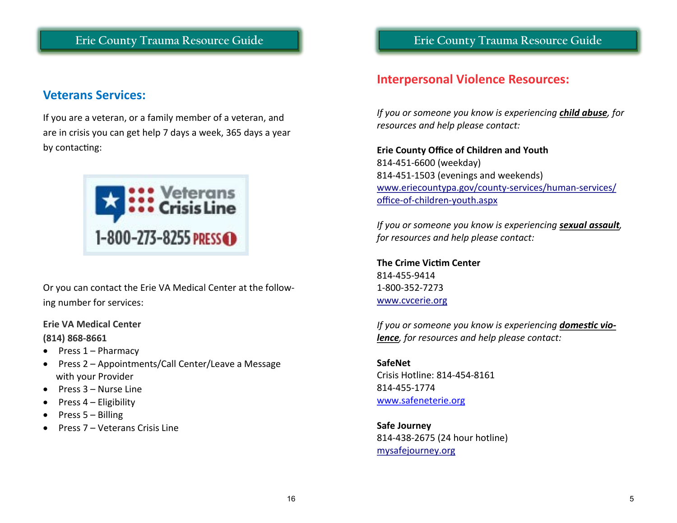### **Veterans Services:**

If you are a veteran, or a family member of a veteran, and are in crisis you can get help 7 days a week, 365 days a year by contacting:



Or you can contact the Erie VA Medical Center at the following number for services:

#### **Erie VA Medical Center**

#### **(814) 868-8661**

- Press 1 Pharmacy
- Press 2 Appointments/Call Center/Leave a Message with your Provider
- Press 3 Nurse Line
- Press 4 Eligibility
- Press 5 Billing
- Press 7 Veterans Crisis Line

**Erie County Trauma Resource Guide**

### **Interpersonal Violence Resources:**

*If you or someone you know is experiencing child abuse, for resources and help please contact:*

#### **Erie County Office of Children and Youth** 814-451-6600 (weekday) 814-451-1503 (evenings and weekends) [www.eriecountypa.gov/county](http://www.eriecountypa.gov/county-services/human-services/office-of-children-youth.aspx)-services/human-services/ office-of-children-[youth.aspx](http://www.eriecountypa.gov/county-services/human-services/office-of-children-youth.aspx)

*If you or someone you know is experiencing sexual assault, for resources and help please contact:*

**The Crime Victim Center** 814-455-9414 1-800-352-7273 [www.cvcerie.org](http://www.cvcerie.org/)

*If you or someone you know is experiencing domestic violence, for resources and help please contact:*

**SafeNet** Crisis Hotline: 814-454-8161 814-455-1774 [www.safeneterie.org](http://www.safeneterie.org/)

**Safe Journey** 814-438-2675 (24 hour hotline) <mysafejourney.org>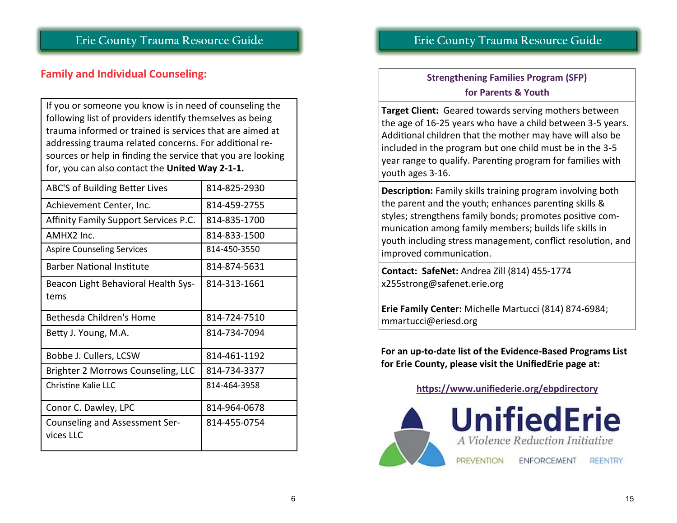## **Family and Individual Counseling:**

If you or someone you know is in need of counseling the following list of providers identify themselves as being trauma informed or trained is services that are aimed at addressing trauma related concerns. For additional resources or help in finding the service that you are looking for, you can also contact the **United Way 2-1-1.**

| ABC'S of Building Better Lives        | 814-825-2930 |
|---------------------------------------|--------------|
| Achievement Center, Inc.              | 814-459-2755 |
| Affinity Family Support Services P.C. | 814-835-1700 |
| AMHX2 Inc.                            | 814-833-1500 |
| <b>Aspire Counseling Services</b>     | 814-450-3550 |
| <b>Barber National Institute</b>      | 814-874-5631 |
| Beacon Light Behavioral Health Sys-   | 814-313-1661 |
| tems                                  |              |
| Bethesda Children's Home              | 814-724-7510 |
| Betty J. Young, M.A.                  | 814-734-7094 |
| Bobbe J. Cullers, LCSW                | 814-461-1192 |
| Brighter 2 Morrows Counseling, LLC    | 814-734-3377 |
| Christine Kalie LLC                   | 814-464-3958 |
| Conor C. Dawley, LPC                  | 814-964-0678 |
| Counseling and Assessment Ser-        | 814-455-0754 |
| vices LLC                             |              |
|                                       |              |

## **Erie County Trauma Resource Guide**

## **Strengthening Families Program (SFP) for Parents & Youth**

**Target Client:** Geared towards serving mothers between the age of 16-25 years who have a child between 3-5 years. Additional children that the mother may have will also be included in the program but one child must be in the 3-5 year range to qualify. Parenting program for families with youth ages 3-16.

**Description:** Family skills training program involving both the parent and the youth; enhances parenting skills & styles; strengthens family bonds; promotes positive communication among family members; builds life skills in youth including stress management, conflict resolution, and improved communication.

**Contact: SafeNet:** Andrea Zill (814) 455-1774 x255strong@safenet.erie.org

**Erie Family Center:** Michelle Martucci (814) 874-6984; mmartucci@eriesd.org

**For an up-to-date list of the Evidence-Based Programs List for Erie County, please visit the UnifiedErie page at:**

**https://www.unifiederie.org/ebpdirectory**

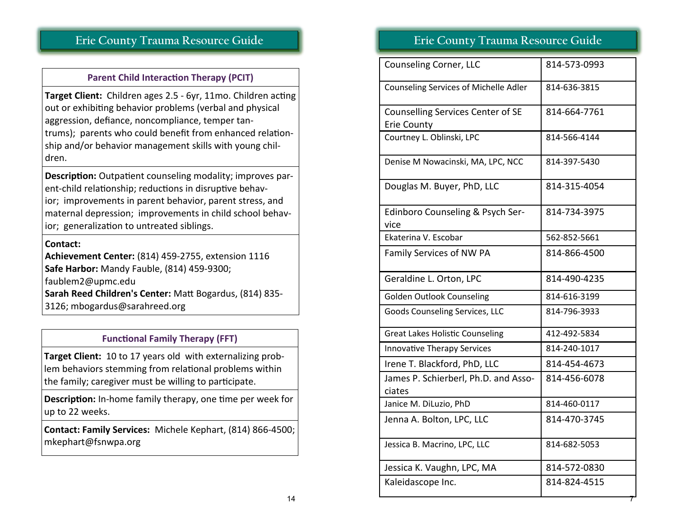#### **Parent Child Interaction Therapy (PCIT)**

**Target Client:** Children ages 2.5 - 6yr, 11mo. Children acting out or exhibiting behavior problems (verbal and physical aggression, defiance, noncompliance, temper tantrums); parents who could benefit from enhanced relationship and/or behavior management skills with young children.

**Description:** Outpatient counseling modality; improves parent-child relationship; reductions in disruptive behavior; improvements in parent behavior, parent stress, and maternal depression; improvements in child school behavior; generalization to untreated siblings.

#### **Contact:**

**Achievement Center:** (814) 459-2755, extension 1116 **Safe Harbor:** Mandy Fauble, (814) 459-9300; faublem2@upmc.edu **Sarah Reed Children's Center:** Matt Bogardus, (814) 835- 3126; mbogardus@sarahreed.org

#### **Functional Family Therapy (FFT)**

**Target Client:** 10 to 17 years old with externalizing problem behaviors stemming from relational problems within the family; caregiver must be willing to participate.

**Description:** In-home family therapy, one time per week for up to 22 weeks.

**Contact: Family Services:** Michele Kephart, (814) 866-4500; mkephart@fsnwpa.org

### **Erie County Trauma Resource Guide**

| Counseling Corner, LLC                                  | 814-573-0993 |
|---------------------------------------------------------|--------------|
| <b>Counseling Services of Michelle Adler</b>            | 814-636-3815 |
| Counselling Services Center of SE<br><b>Erie County</b> | 814-664-7761 |
| Courtney L. Oblinski, LPC                               | 814-566-4144 |
| Denise M Nowacinski, MA, LPC, NCC                       | 814-397-5430 |
| Douglas M. Buyer, PhD, LLC                              | 814-315-4054 |
| Edinboro Counseling & Psych Ser-<br>vice                | 814-734-3975 |
| Ekaterina V. Escobar                                    | 562-852-5661 |
| Family Services of NW PA                                | 814-866-4500 |
| Geraldine L. Orton, LPC                                 | 814-490-4235 |
| Golden Outlook Counseling                               | 814-616-3199 |
| <b>Goods Counseling Services, LLC</b>                   | 814-796-3933 |
| <b>Great Lakes Holistic Counseling</b>                  | 412-492-5834 |
| <b>Innovative Therapy Services</b>                      | 814-240-1017 |
| Irene T. Blackford, PhD, LLC                            | 814-454-4673 |
| James P. Schierberl, Ph.D. and Asso-<br>ciates          | 814-456-6078 |
| Janice M. DiLuzio, PhD                                  | 814-460-0117 |
| Jenna A. Bolton, LPC, LLC                               | 814-470-3745 |
| Jessica B. Macrino, LPC, LLC                            | 814-682-5053 |
| Jessica K. Vaughn, LPC, MA                              | 814-572-0830 |
| Kaleidascope Inc.                                       | 814-824-4515 |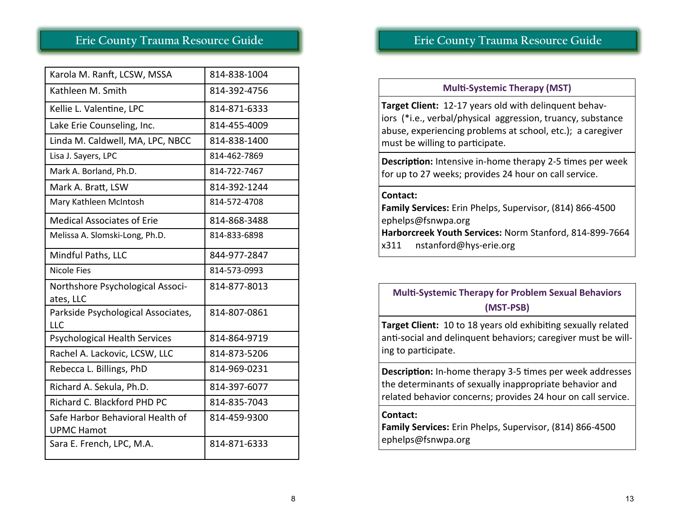| Karola M. Ranft, LCSW, MSSA                           | 814-838-1004 |
|-------------------------------------------------------|--------------|
| Kathleen M. Smith                                     | 814-392-4756 |
| Kellie L. Valentine, LPC                              | 814-871-6333 |
| Lake Erie Counseling, Inc.                            | 814-455-4009 |
| Linda M. Caldwell, MA, LPC, NBCC                      | 814-838-1400 |
| Lisa J. Sayers, LPC                                   | 814-462-7869 |
| Mark A. Borland, Ph.D.                                | 814-722-7467 |
| Mark A. Bratt, LSW                                    | 814-392-1244 |
| Mary Kathleen McIntosh                                | 814-572-4708 |
| <b>Medical Associates of Erie</b>                     | 814-868-3488 |
| Melissa A. Slomski-Long, Ph.D.                        | 814-833-6898 |
| Mindful Paths, LLC                                    | 844-977-2847 |
|                                                       |              |
| <b>Nicole Fies</b>                                    | 814-573-0993 |
| Northshore Psychological Associ-<br>ates, LLC         | 814-877-8013 |
| Parkside Psychological Associates,<br>LLC             | 814-807-0861 |
| <b>Psychological Health Services</b>                  | 814-864-9719 |
| Rachel A. Lackovic, LCSW, LLC                         | 814-873-5206 |
| Rebecca L. Billings, PhD                              | 814-969-0231 |
| Richard A. Sekula, Ph.D.                              | 814-397-6077 |
| Richard C. Blackford PHD PC                           | 814-835-7043 |
| Safe Harbor Behavioral Health of<br><b>UPMC Hamot</b> | 814-459-9300 |

## **Erie County Trauma Resource Guide**

#### **Multi-Systemic Therapy (MST)**

**Target Client:** 12-17 years old with delinquent behaviors (\*i.e., verbal/physical aggression, truancy, substance abuse, experiencing problems at school, etc.); a caregiver must be willing to participate.

**Description:** Intensive in-home therapy 2-5 times per week for up to 27 weeks; provides 24 hour on call service.

#### **Contact:**

**Family Services:** Erin Phelps, Supervisor, (814) 866-4500 ephelps@fsnwpa.org **Harborcreek Youth Services:** Norm Stanford, 814-899-7664 x311 nstanford@hys-erie.org

### **Multi-Systemic Therapy for Problem Sexual Behaviors (MST-PSB)**

**Target Client:** 10 to 18 years old exhibiting sexually related anti-social and delinquent behaviors; caregiver must be willing to participate.

**Description:** In-home therapy 3-5 times per week addresses the determinants of sexually inappropriate behavior and related behavior concerns; provides 24 hour on call service.

#### **Contact:**

**Family Services:** Erin Phelps, Supervisor, (814) 866-4500 ephelps@fsnwpa.org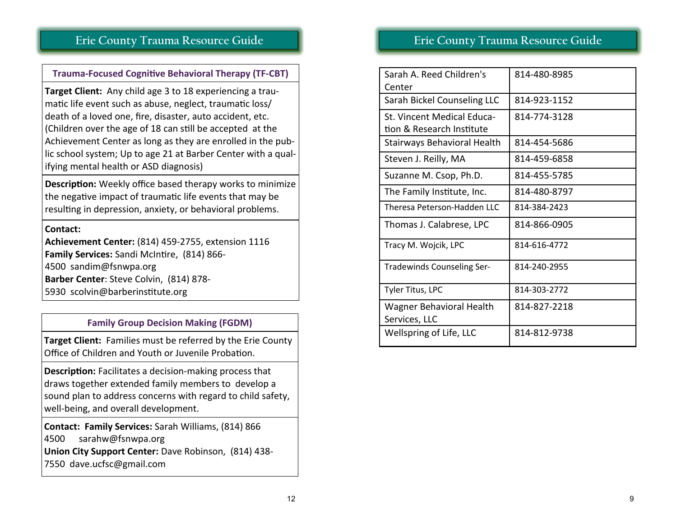#### **Trauma-Focused Cognitive Behavioral Therapy (TF-CBT)**

**Target Client:** Any child age 3 to 18 experiencing a traumatic life event such as abuse, neglect, traumatic loss/ death of a loved one, fire, disaster, auto accident, etc. (Children over the age of 18 can still be accepted at the Achievement Center as long as they are enrolled in the public school system; Up to age 21 at Barber Center with a qualifying mental health or ASD diagnosis)

**Description:** Weekly office based therapy works to minimize the negative impact of traumatic life events that may be resulting in depression, anxiety, or behavioral problems.

#### **Contact:**

**Achievement Center:** (814) 459-2755, extension 1116 **Family Services:** Sandi McIntire, (814) 866- 4500 sandim@fsnwpa.org **Barber Center**: Steve Colvin, (814) 878- 5930 scolvin@barberinstitute.org

#### **Family Group Decision Making (FGDM)**

**Target Client:** Families must be referred by the Erie County Office of Children and Youth or Juvenile Probation.

**Description:** Facilitates a decision-making process that draws together extended family members to develop a sound plan to address concerns with regard to child safety, well-being, and overall development.

**Contact: Family Services:** Sarah Williams, (814) 866 4500 sarahw@fsnwpa.org **Union City Support Center:** Dave Robinson, (814) 438- 7550 dave.ucfsc@gmail.com

### **Erie County Trauma Resource Guide**

| Sarah A. Reed Children's<br>Center                      | 814-480-8985 |
|---------------------------------------------------------|--------------|
| Sarah Bickel Counseling LLC                             | 814-923-1152 |
| St. Vincent Medical Educa-<br>tion & Research Institute | 814-774-3128 |
| Stairways Behavioral Health                             | 814-454-5686 |
| Steven J. Reilly, MA                                    | 814-459-6858 |
| Suzanne M. Csop, Ph.D.                                  | 814-455-5785 |
| The Family Institute, Inc.                              | 814-480-8797 |
| Theresa Peterson-Hadden LLC                             | 814-384-2423 |
| Thomas J. Calabrese, LPC                                | 814-866-0905 |
| Tracy M. Wojcik, LPC                                    | 814-616-4772 |
| Tradewinds Counseling Ser-                              | 814-240-2955 |
| Tyler Titus, LPC                                        | 814-303-2772 |
| Wagner Behavioral Health<br>Services, LLC               | 814-827-2218 |
| Wellspring of Life, LLC                                 | 814-812-9738 |